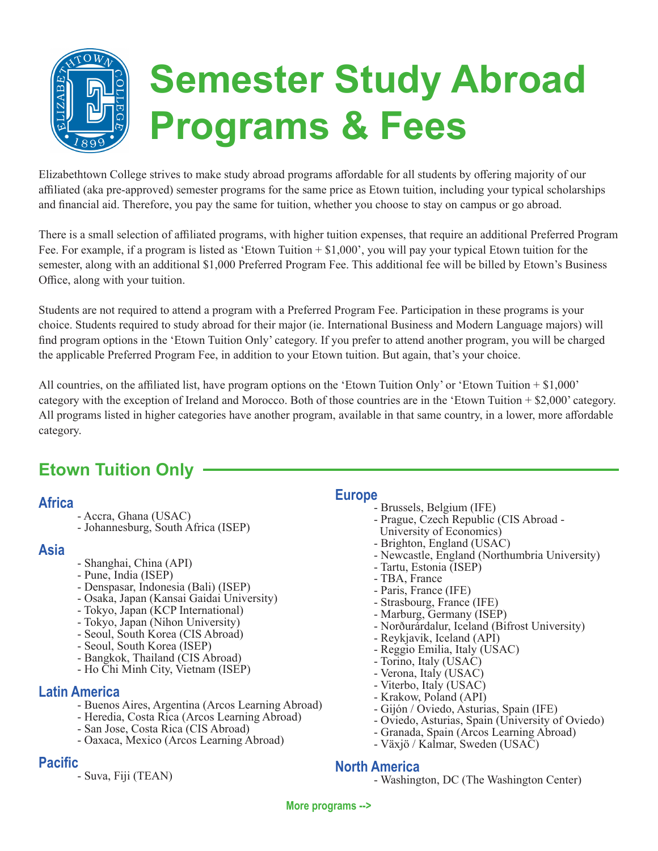

Elizabethtown College strives to make study abroad programs affordable for all students by offering majority of our affiliated (aka pre-approved) semester programs for the same price as Etown tuition, including your typical scholarships and financial aid. Therefore, you pay the same for tuition, whether you choose to stay on campus or go abroad.

There is a small selection of affiliated programs, with higher tuition expenses, that require an additional Preferred Program Fee. For example, if a program is listed as 'Etown Tuition + \$1,000', you will pay your typical Etown tuition for the semester, along with an additional \$1,000 Preferred Program Fee. This additional fee will be billed by Etown's Business Office, along with your tuition.

Students are not required to attend a program with a Preferred Program Fee. Participation in these programs is your choice. Students required to study abroad for their major (ie. International Business and Modern Language majors) will find program options in the 'Etown Tuition Only' category. If you prefer to attend another program, you will be charged the applicable Preferred Program Fee, in addition to your Etown tuition. But again, that's your choice.

All countries, on the affiliated list, have program options on the 'Etown Tuition Only' or 'Etown Tuition  $+ $1,000$ ' category with the exception of Ireland and Morocco. Both of those countries are in the 'Etown Tuition + \$2,000' category. All programs listed in higher categories have another program, available in that same country, in a lower, more affordable category.

# **Etown Tuition Only**

## **Africa**

- Accra, Ghana (USAC)
- Johannesburg, South Africa (ISEP)

#### **Asia**

- Shanghai, China (API)
- Pune, India (ISEP)
- Denspasar, Indonesia (Bali) (ISEP)
- Osaka, Japan (Kansai Gaidai University)
- Tokyo, Japan (KCP International)
- Tokyo, Japan (Nihon University)
- Seoul, South Korea (CIS Abroad)
- Seoul, South Korea (ISEP)
- Bangkok, Thailand (CIS Abroad)
- Ho Chi Minh City, Vietnam (ISEP)

## **Latin America**

- Buenos Aires, Argentina (Arcos Learning Abroad)
- Heredia, Costa Rica (Arcos Learning Abroad)
- San Jose, Costa Rica (CIS Abroad)
- Oaxaca, Mexico (Arcos Learning Abroad)

## **Pacific**

- Suva, Fiji (TEAN)

## **Europe**

- Brussels, Belgium (IFE)
- Prague, Czech Republic (CIS Abroad -
- University of Economics)
- Brighton, England (USAC)
- Newcastle, England (Northumbria University)
- Tartu, Estonia (ISEP)
- TBA, France
- Paris, France (IFE)
- Strasbourg, France (IFE)
- Marburg, Germany (ISEP)
- Norðurárdalur, Iceland (Bifrost University)
- Reykjavik, Iceland (API)
- Reggio Emilia, Italy (USAC)
- Torino, Italy (USAC)
- Verona, Italy (USAC)
- Viterbo, Italy (USAC)
- Krakow, Poland (API)
- Gijón / Oviedo, Asturias, Spain (IFE)
- Oviedo, Asturias, Spain (University of Oviedo)
- Granada, Spain (Arcos Learning Abroad)
- Växjö / Kalmar, Sweden (USAC)

#### **North America**

- Washington, DC (The Washington Center)